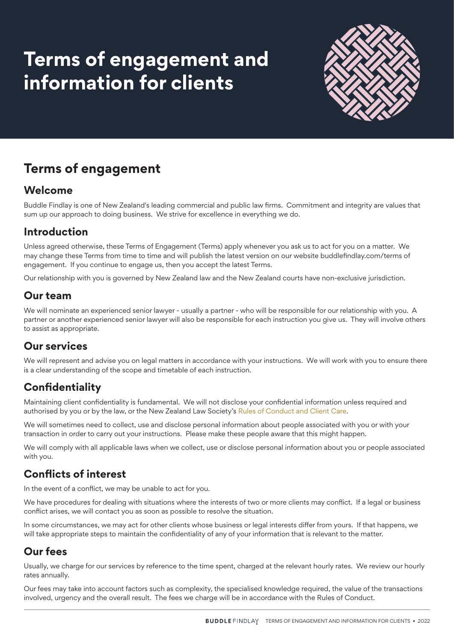# **Terms of engagement and information for clients**



# **Terms of engagement**

#### **Welcome**

Buddle Findlay is one of New Zealand's leading commercial and public law firms. Commitment and integrity are values that sum up our approach to doing business. We strive for excellence in everything we do.

### **Introduction**

Unless agreed otherwise, these Terms of Engagement (Terms) apply whenever you ask us to act for you on a matter. We may change these Terms from time to time and will publish the latest version on our website buddlefindlay.com/terms of engagement. If you continue to engage us, then you accept the latest Terms.

Our relationship with you is governed by New Zealand law and the New Zealand courts have non-exclusive jurisdiction.

#### **Our team**

We will nominate an experienced senior lawyer - usually a partner - who will be responsible for our relationship with you. A partner or another experienced senior lawyer will also be responsible for each instruction you give us. They will involve others to assist as appropriate.

### **Our services**

We will represent and advise you on legal matters in accordance with your instructions. We will work with you to ensure there is a clear understanding of the scope and timetable of each instruction.

### **Confidentiality**

Maintaining client confidentiality is fundamental. We will not disclose your confidential information unless required and authorised by you or by the law, or the New Zealand Law Society's Rules of Conduct and Client Care.

We will sometimes need to collect, use and disclose personal information about people associated with you or with your transaction in order to carry out your instructions. Please make these people aware that this might happen.

We will comply with all applicable laws when we collect, use or disclose personal information about you or people associated with you.

### **Conflicts of interest**

In the event of a conflict, we may be unable to act for you.

We have procedures for dealing with situations where the interests of two or more clients may conflict. If a legal or business conflict arises, we will contact you as soon as possible to resolve the situation.

In some circumstances, we may act for other clients whose business or legal interests differ from yours. If that happens, we will take appropriate steps to maintain the confidentiality of any of your information that is relevant to the matter.

#### **Our fees**

Usually, we charge for our services by reference to the time spent, charged at the relevant hourly rates. We review our hourly rates annually.

Our fees may take into account factors such as complexity, the specialised knowledge required, the value of the transactions involved, urgency and the overall result. The fees we charge will be in accordance with the Rules of Conduct.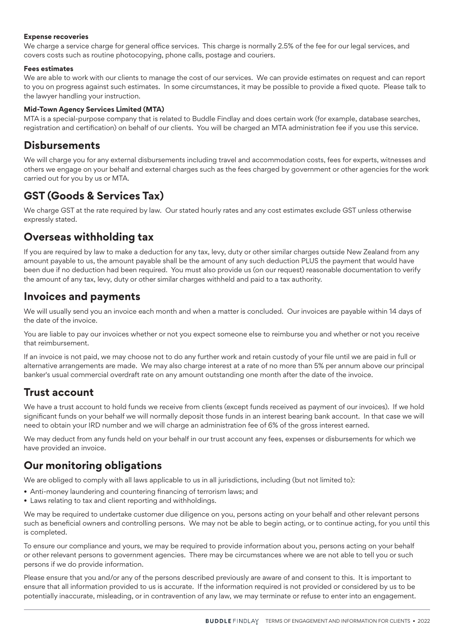#### **Expense recoveries**

We charge a service charge for general office services. This charge is normally 2.5% of the fee for our legal services, and covers costs such as routine photocopying, phone calls, postage and couriers.

#### **Fees estimates**

We are able to work with our clients to manage the cost of our services. We can provide estimates on request and can report to you on progress against such estimates. In some circumstances, it may be possible to provide a fixed quote. Please talk to the lawyer handling your instruction.

#### **Mid-Town Agency Services Limited (MTA)**

MTA is a special-purpose company that is related to Buddle Findlay and does certain work (for example, database searches, registration and certification) on behalf of our clients. You will be charged an MTA administration fee if you use this service.

#### **Disbursements**

We will charge you for any external disbursements including travel and accommodation costs, fees for experts, witnesses and others we engage on your behalf and external charges such as the fees charged by government or other agencies for the work carried out for you by us or MTA.

#### **GST (Goods & Services Tax)**

We charge GST at the rate required by law. Our stated hourly rates and any cost estimates exclude GST unless otherwise expressly stated.

#### **Overseas withholding tax**

If you are required by law to make a deduction for any tax, levy, duty or other similar charges outside New Zealand from any amount payable to us, the amount payable shall be the amount of any such deduction PLUS the payment that would have been due if no deduction had been required. You must also provide us (on our request) reasonable documentation to verify the amount of any tax, levy, duty or other similar charges withheld and paid to a tax authority.

#### **Invoices and payments**

We will usually send you an invoice each month and when a matter is concluded. Our invoices are payable within 14 days of the date of the invoice.

You are liable to pay our invoices whether or not you expect someone else to reimburse you and whether or not you receive that reimbursement.

If an invoice is not paid, we may choose not to do any further work and retain custody of your file until we are paid in full or alternative arrangements are made. We may also charge interest at a rate of no more than 5% per annum above our principal banker's usual commercial overdraft rate on any amount outstanding one month after the date of the invoice.

#### **Trust account**

We have a trust account to hold funds we receive from clients (except funds received as payment of our invoices). If we hold significant funds on your behalf we will normally deposit those funds in an interest bearing bank account. In that case we will need to obtain your IRD number and we will charge an administration fee of 6% of the gross interest earned.

We may deduct from any funds held on your behalf in our trust account any fees, expenses or disbursements for which we have provided an invoice.

#### **Our monitoring obligations**

We are obliged to comply with all laws applicable to us in all jurisdictions, including (but not limited to):

- Anti-money laundering and countering financing of terrorism laws; and
- Laws relating to tax and client reporting and withholdings.

We may be required to undertake customer due diligence on you, persons acting on your behalf and other relevant persons such as beneficial owners and controlling persons. We may not be able to begin acting, or to continue acting, for you until this is completed.

To ensure our compliance and yours, we may be required to provide information about you, persons acting on your behalf or other relevant persons to government agencies. There may be circumstances where we are not able to tell you or such persons if we do provide information.

Please ensure that you and/or any of the persons described previously are aware of and consent to this. It is important to ensure that all information provided to us is accurate. If the information required is not provided or considered by us to be potentially inaccurate, misleading, or in contravention of any law, we may terminate or refuse to enter into an engagement.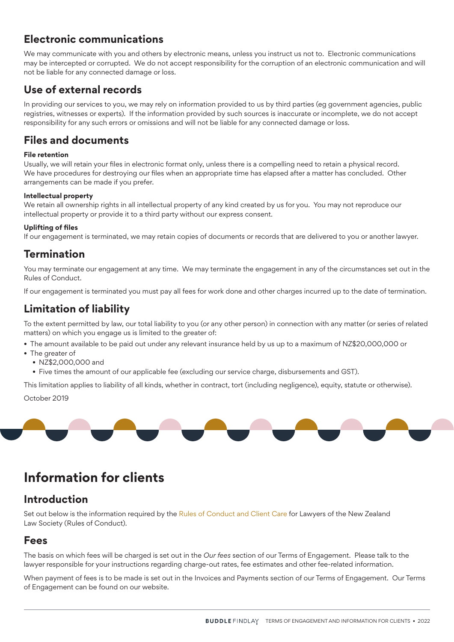### **Electronic communications**

We may communicate with you and others by electronic means, unless you instruct us not to. Electronic communications may be intercepted or corrupted. We do not accept responsibility for the corruption of an electronic communication and will not be liable for any connected damage or loss.

#### **Use of external records**

In providing our services to you, we may rely on information provided to us by third parties (eg government agencies, public registries, witnesses or experts). If the information provided by such sources is inaccurate or incomplete, we do not accept responsibility for any such errors or omissions and will not be liable for any connected damage or loss.

#### **Files and documents**

#### **File retention**

Usually, we will retain your files in electronic format only, unless there is a compelling need to retain a physical record. We have procedures for destroying our files when an appropriate time has elapsed after a matter has concluded. Other arrangements can be made if you prefer.

#### **Intellectual property**

We retain all ownership rights in all intellectual property of any kind created by us for you. You may not reproduce our intellectual property or provide it to a third party without our express consent.

#### **Uplifting of files**

If our engagement is terminated, we may retain copies of documents or records that are delivered to you or another lawyer.

#### **Termination**

You may terminate our engagement at any time. We may terminate the engagement in any of the circumstances set out in the Rules of Conduct.

If our engagement is terminated you must pay all fees for work done and other charges incurred up to the date of termination.

#### **Limitation of liability**

To the extent permitted by law, our total liability to you (or any other person) in connection with any matter (or series of related matters) on which you engage us is limited to the greater of:

- The amount available to be paid out under any relevant insurance held by us up to a maximum of NZ\$20,000,000 or
- The greater of
	- NZ\$2,000,000 and
	- Five times the amount of our applicable fee (excluding our service charge, disbursements and GST).

This limitation applies to liability of all kinds, whether in contract, tort (including negligence), equity, statute or otherwise). October 2019



## **Information for clients**

#### **Introduction**

Set out below is the information required by the Rules of Conduct and Client Care for Lawyers of the New Zealand Law Society (Rules of Conduct).

#### **Fees**

The basis on which fees will be charged is set out in the *Our fees* section of our Terms of Engagement. Please talk to the lawyer responsible for your instructions regarding charge-out rates, fee estimates and other fee-related information.

When payment of fees is to be made is set out in the Invoices and Payments section of our Terms of Engagement. Our Terms of Engagement can be found on our website.